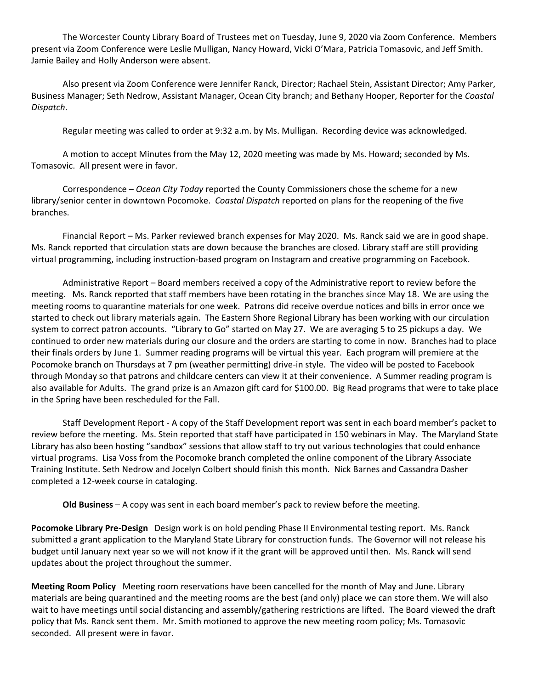The Worcester County Library Board of Trustees met on Tuesday, June 9, 2020 via Zoom Conference. Members present via Zoom Conference were Leslie Mulligan, Nancy Howard, Vicki O'Mara, Patricia Tomasovic, and Jeff Smith. Jamie Bailey and Holly Anderson were absent.

Also present via Zoom Conference were Jennifer Ranck, Director; Rachael Stein, Assistant Director; Amy Parker, Business Manager; Seth Nedrow, Assistant Manager, Ocean City branch; and Bethany Hooper, Reporter for the *Coastal Dispatch*.

Regular meeting was called to order at 9:32 a.m. by Ms. Mulligan. Recording device was acknowledged.

A motion to accept Minutes from the May 12, 2020 meeting was made by Ms. Howard; seconded by Ms. Tomasovic. All present were in favor.

Correspondence – *Ocean City Today* reported the County Commissioners chose the scheme for a new library/senior center in downtown Pocomoke. *Coastal Dispatch* reported on plans for the reopening of the five branches.

Financial Report – Ms. Parker reviewed branch expenses for May 2020. Ms. Ranck said we are in good shape. Ms. Ranck reported that circulation stats are down because the branches are closed. Library staff are still providing virtual programming, including instruction-based program on Instagram and creative programming on Facebook.

Administrative Report – Board members received a copy of the Administrative report to review before the meeting. Ms. Ranck reported that staff members have been rotating in the branches since May 18. We are using the meeting rooms to quarantine materials for one week. Patrons did receive overdue notices and bills in error once we started to check out library materials again. The Eastern Shore Regional Library has been working with our circulation system to correct patron accounts. "Library to Go" started on May 27. We are averaging 5 to 25 pickups a day. We continued to order new materials during our closure and the orders are starting to come in now. Branches had to place their finals orders by June 1. Summer reading programs will be virtual this year. Each program will premiere at the Pocomoke branch on Thursdays at 7 pm (weather permitting) drive-in style. The video will be posted to Facebook through Monday so that patrons and childcare centers can view it at their convenience. A Summer reading program is also available for Adults. The grand prize is an Amazon gift card for \$100.00. Big Read programs that were to take place in the Spring have been rescheduled for the Fall.

Staff Development Report - A copy of the Staff Development report was sent in each board member's packet to review before the meeting. Ms. Stein reported that staff have participated in 150 webinars in May. The Maryland State Library has also been hosting "sandbox" sessions that allow staff to try out various technologies that could enhance virtual programs. Lisa Voss from the Pocomoke branch completed the online component of the Library Associate Training Institute. Seth Nedrow and Jocelyn Colbert should finish this month. Nick Barnes and Cassandra Dasher completed a 12-week course in cataloging.

**Old Business** – A copy was sent in each board member's pack to review before the meeting.

**Pocomoke Library Pre-Design** Design work is on hold pending Phase II Environmental testing report. Ms. Ranck submitted a grant application to the Maryland State Library for construction funds. The Governor will not release his budget until January next year so we will not know if it the grant will be approved until then. Ms. Ranck will send updates about the project throughout the summer.

**Meeting Room Policy** Meeting room reservations have been cancelled for the month of May and June. Library materials are being quarantined and the meeting rooms are the best (and only) place we can store them. We will also wait to have meetings until social distancing and assembly/gathering restrictions are lifted. The Board viewed the draft policy that Ms. Ranck sent them. Mr. Smith motioned to approve the new meeting room policy; Ms. Tomasovic seconded. All present were in favor.